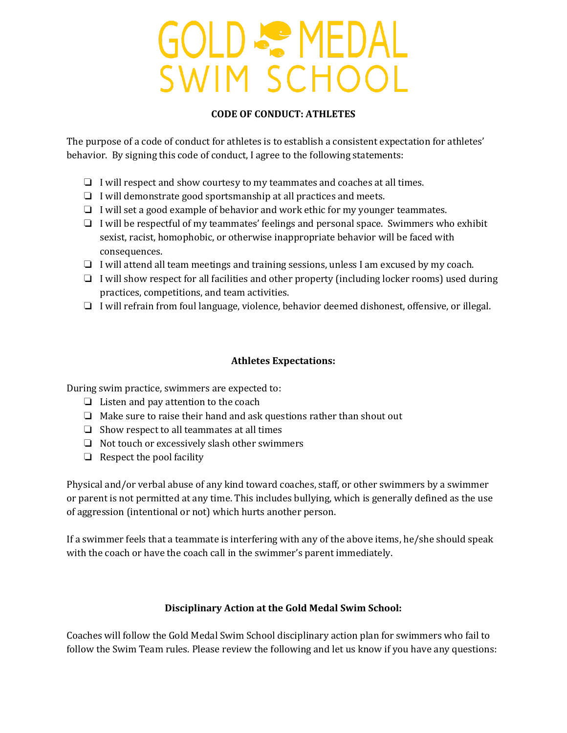# **GOLD & MEDAL** SWIM SCHOOL

#### **CODE OF CONDUCT: ATHLETES**

The purpose of a code of conduct for athletes is to establish a consistent expectation for athletes' behavior. By signing this code of conduct, I agree to the following statements:

- ❏ I will respect and show courtesy to my teammates and coaches at all times.
- ❏ I will demonstrate good sportsmanship at all practices and meets.
- ❏ I will set a good example of behavior and work ethic for my younger teammates.
- ❏ I will be respectful of my teammates' feelings and personal space. Swimmers who exhibit sexist, racist, homophobic, or otherwise inappropriate behavior will be faced with consequences.
- ❏ I will attend all team meetings and training sessions, unless I am excused by my coach.
- ❏ I will show respect for all facilities and other property (including locker rooms) used during practices, competitions, and team activities.
- ❏ I will refrain from foul language, violence, behavior deemed dishonest, offensive, or illegal.

#### **Athletes Expectations:**

During swim practice, swimmers are expected to:

- ❏ Listen and pay attention to the coach
- ❏ Make sure to raise their hand and ask questions rather than shout out
- ❏ Show respect to all teammates at all times
- ❏ Not touch or excessively slash other swimmers
- $\Box$  Respect the pool facility

Physical and/or verbal abuse of any kind toward coaches, staff, or other swimmers by a swimmer or parent is not permitted at any time. This includes bullying, which is generally defined as the use of aggression (intentional or not) which hurts another person.

If a swimmer feels that a teammate is interfering with any of the above items, he/she should speak with the coach or have the coach call in the swimmer's parent immediately.

### **Disciplinary Action at the Gold Medal Swim School:**

Coaches will follow the Gold Medal Swim School disciplinary action plan for swimmers who fail to follow the Swim Team rules. Please review the following and let us know if you have any questions: